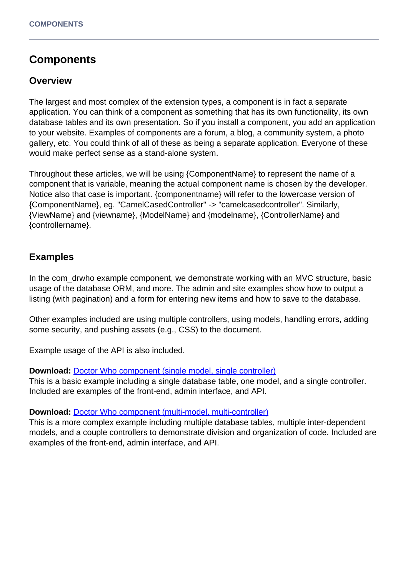# **Components**

## **Overview**

The largest and most complex of the extension types, a component is in fact a separate application. You can think of a component as something that has its own functionality, its own database tables and its own presentation. So if you install a component, you add an application to your website. Examples of components are a forum, a blog, a community system, a photo gallery, etc. You could think of all of these as being a separate application. Everyone of these would make perfect sense as a stand-alone system.

Throughout these articles, we will be using {ComponentName} to represent the name of a component that is variable, meaning the actual component name is chosen by the developer. Notice also that case is important. {componentname} will refer to the lowercase version of {ComponentName}, eg. "CamelCasedController" -> "camelcasedcontroller". Similarly, {ViewName} and {viewname}, {ModelName} and {modelname}, {ControllerName} and {controllername}.

## **Examples**

In the com\_drwho example component, we demonstrate working with an MVC structure, basic usage of the database ORM, and more. The admin and site examples show how to output a listing (with pagination) and a form for entering new items and how to save to the database.

Other examples included are using multiple controllers, using models, handling errors, adding some security, and pushing assets (e.g., CSS) to the document.

Example usage of the API is also included.

#### **Download:** [Doctor Who component \(single model, single controller\)](/app/site/documentation/220/examples/com_drwho_single-model.zip)

This is a basic example including a single database table, one model, and a single controller. Included are examples of the front-end, admin interface, and API.

#### **Download:** [Doctor Who component \(multi-model, multi-controller\)](/app/site/documentation/220/examples/com_drwho.zip)

This is a more complex example including multiple database tables, multiple inter-dependent models, and a couple controllers to demonstrate division and organization of code. Included are examples of the front-end, admin interface, and API.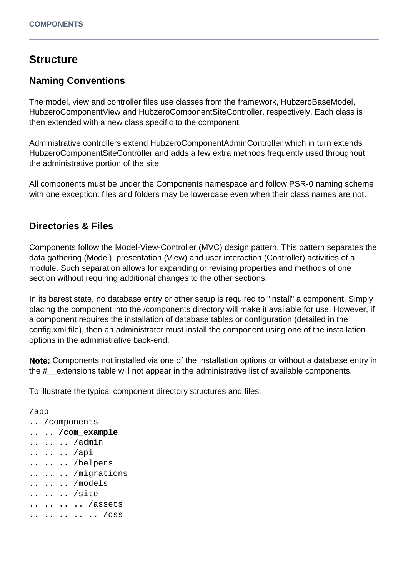## **Structure**

### **Naming Conventions**

The model, view and controller files use classes from the framework, HubzeroBaseModel, HubzeroComponentView and HubzeroComponentSiteController, respectively. Each class is then extended with a new class specific to the component.

Administrative controllers extend HubzeroComponentAdminController which in turn extends HubzeroComponentSiteController and adds a few extra methods frequently used throughout the administrative portion of the site.

All components must be under the Components namespace and follow PSR-0 naming scheme with one exception: files and folders may be lowercase even when their class names are not.

### **Directories & Files**

Components follow the Model-View-Controller (MVC) design pattern. This pattern separates the data gathering (Model), presentation (View) and user interaction (Controller) activities of a module. Such separation allows for expanding or revising properties and methods of one section without requiring additional changes to the other sections.

In its barest state, no database entry or other setup is required to "install" a component. Simply placing the component into the /components directory will make it available for use. However, if a component requires the installation of database tables or configuration (detailed in the config.xml file), then an administrator must install the component using one of the installation options in the administrative back-end.

**Note:** Components not installed via one of the installation options or without a database entry in the #\_\_extensions table will not appear in the administrative list of available components.

To illustrate the typical component directory structures and files:

```
/app
.. /components
.. .. /com_example
.. .. .. /admin
.. .. .. /api
.. .. .. /helpers
.. .. .. /migrations
.. .. .. /models
.. .. .. /site
.. .. .. .. /assets
.. .. .. .. .. /css
```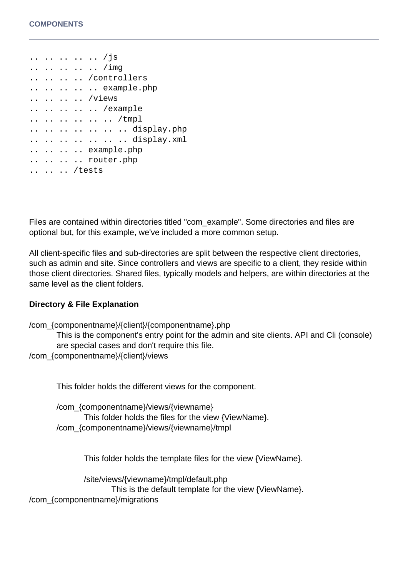.. .. .. .. .. /js .. .. .. .. .. /img .. .. .. .. /controllers .. .. .. .. .. example.php .. .. .. .. /views .. .. .. .. .. /example .. .. .. .. .. .. /tmpl .. .. .. .. .. .. .. display.php .. .. .. .. .. .. .. display.xml .. .. .. .. example.php .. .. .. .. router.php .. .. .. /tests

Files are contained within directories titled "com\_example". Some directories and files are optional but, for this example, we've included a more common setup.

All client-specific files and sub-directories are split between the respective client directories, such as admin and site. Since controllers and views are specific to a client, they reside within those client directories. Shared files, typically models and helpers, are within directories at the same level as the client folders.

#### **Directory & File Explanation**

```
/com_{componentname}/{client}/{componentname}.php
       This is the component's entry point for the admin and site clients. API and Cli (console)
       are special cases and don't require this file.
/com_{componentname}/{client}/views
```
This folder holds the different views for the component.

/com\_{componentname}/views/{viewname} This folder holds the files for the view {ViewName}. /com\_{componentname}/views/{viewname}/tmpl

This folder holds the template files for the view {ViewName}.

/site/views/{viewname}/tmpl/default.php

This is the default template for the view {ViewName}.

/com\_{componentname}/migrations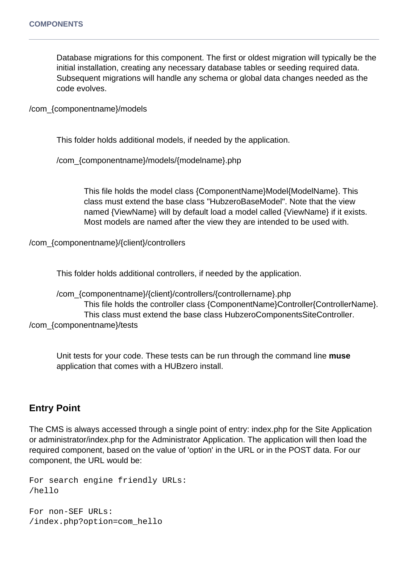Database migrations for this component. The first or oldest migration will typically be the initial installation, creating any necessary database tables or seeding required data. Subsequent migrations will handle any schema or global data changes needed as the code evolves.

/com\_{componentname}/models

This folder holds additional models, if needed by the application.

/com\_{componentname}/models/{modelname}.php

This file holds the model class {ComponentName}Model{ModelName}. This class must extend the base class "HubzeroBaseModel". Note that the view named {ViewName} will by default load a model called {ViewName} if it exists. Most models are named after the view they are intended to be used with.

/com\_{componentname}/{client}/controllers

This folder holds additional controllers, if needed by the application.

/com\_{componentname}/{client}/controllers/{controllername}.php This file holds the controller class {ComponentName}Controller{ControllerName}. This class must extend the base class HubzeroComponentsSiteController. /com\_{componentname}/tests

Unit tests for your code. These tests can be run through the command line **muse** application that comes with a HUBzero install.

## **Entry Point**

The CMS is always accessed through a single point of entry: index.php for the Site Application or administrator/index.php for the Administrator Application. The application will then load the required component, based on the value of 'option' in the URL or in the POST data. For our component, the URL would be:

```
For search engine friendly URLs:
/hello
For non-SEF URLs:
```
/index.php?option=com\_hello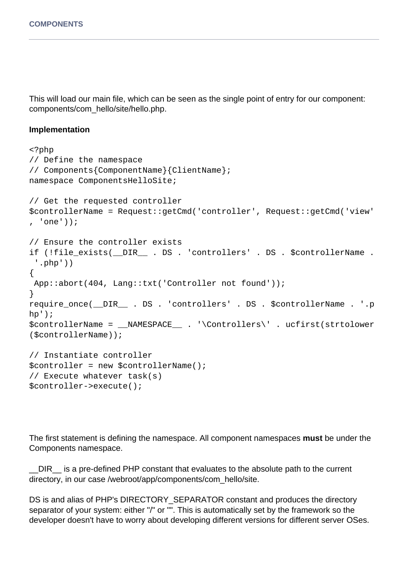This will load our main file, which can be seen as the single point of entry for our component: components/com\_hello/site/hello.php.

#### **Implementation**

```
<?php
// Define the namespace
// Components{ComponentName}{ClientName};
namespace ComponentsHelloSite;
// Get the requested controller
$controllerName = Request::getCmd('controller', Request::getCmd('view'
, 'one'));
// Ensure the controller exists
if (!file_exists(__DIR__ . DS . 'controllers' . DS . $controllerName .
  '.php'))
\{ App::abort(404, Lang::txt('Controller not found'));
}
require_once(__DIR__ . DS . 'controllers' . DS . $controllerName . '.p
hp');
$controllerName = __NAMESPACE__ . '\Controllers\' . ucfirst(strtolower
($controllerName));
// Instantiate controller
$controller = new $controllerName();
// Execute whatever task(s)
$controller->execute();
```
The first statement is defining the namespace. All component namespaces **must** be under the Components namespace.

\_\_DIR\_\_ is a pre-defined PHP constant that evaluates to the absolute path to the current directory, in our case /webroot/app/components/com\_hello/site.

DS is and alias of PHP's DIRECTORY\_SEPARATOR constant and produces the directory separator of your system: either "/" or "". This is automatically set by the framework so the developer doesn't have to worry about developing different versions for different server OSes.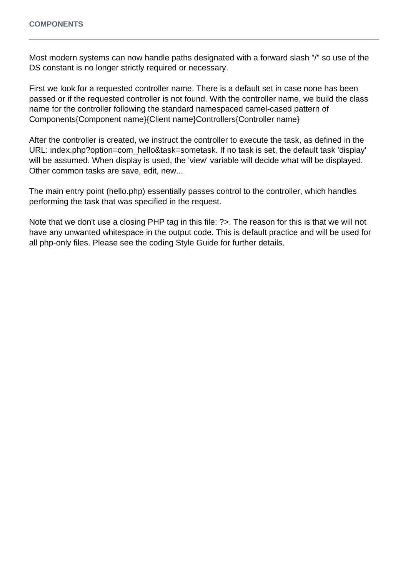Most modern systems can now handle paths designated with a forward slash "/" so use of the DS constant is no longer strictly required or necessary.

First we look for a requested controller name. There is a default set in case none has been passed or if the requested controller is not found. With the controller name, we build the class name for the controller following the standard namespaced camel-cased pattern of Components{Component name}{Client name}Controllers{Controller name}

After the controller is created, we instruct the controller to execute the task, as defined in the URL: index.php?option=com\_hello&task=sometask. If no task is set, the default task 'display' will be assumed. When display is used, the 'view' variable will decide what will be displayed. Other common tasks are save, edit, new...

The main entry point (hello.php) essentially passes control to the controller, which handles performing the task that was specified in the request.

Note that we don't use a closing PHP tag in this file: ?>. The reason for this is that we will not have any unwanted whitespace in the output code. This is default practice and will be used for all php-only files. Please see the coding Style Guide for further details.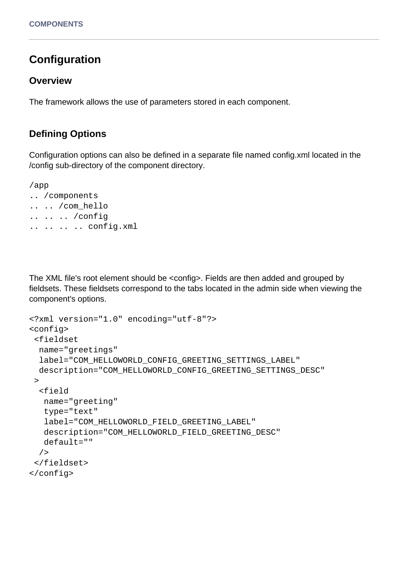# **Configuration**

### **Overview**

The framework allows the use of parameters stored in each component.

## **Defining Options**

Configuration options can also be defined in a separate file named config.xml located in the /config sub-directory of the component directory.

/app .. /components .. .. /com\_hello .. .. .. /config .. .. .. .. config.xml

The XML file's root element should be <config>. Fields are then added and grouped by fieldsets. These fieldsets correspond to the tabs located in the admin side when viewing the component's options.

```
<?xml version="1.0" encoding="utf-8"?>
<config>
 <fieldset
  name="greetings"
   label="COM_HELLOWORLD_CONFIG_GREETING_SETTINGS_LABEL"
   description="COM_HELLOWORLD_CONFIG_GREETING_SETTINGS_DESC"
 \geq <field
    name="greeting"
    type="text"
    label="COM_HELLOWORLD_FIELD_GREETING_LABEL"
    description="COM_HELLOWORLD_FIELD_GREETING_DESC"
    default=""
   />
  </fieldset>
</config>
```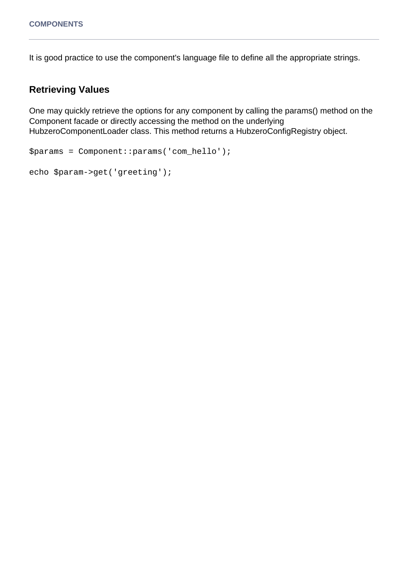It is good practice to use the component's language file to define all the appropriate strings.

## **Retrieving Values**

One may quickly retrieve the options for any component by calling the params() method on the Component facade or directly accessing the method on the underlying HubzeroComponentLoader class. This method returns a HubzeroConfigRegistry object.

```
$params = Component::params('com_hello');
```

```
echo $param->get('greeting');
```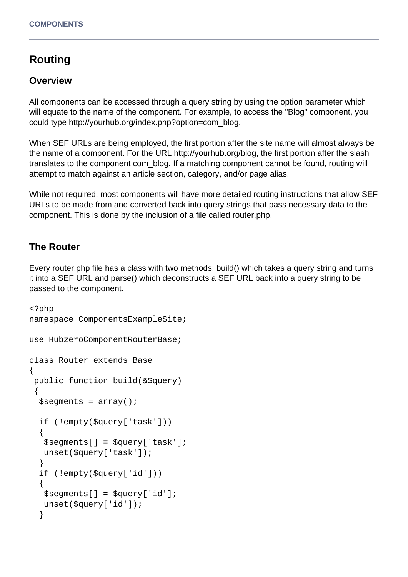# **Routing**

### **Overview**

All components can be accessed through a query string by using the option parameter which will equate to the name of the component. For example, to access the "Blog" component, you could type http://yourhub.org/index.php?option=com\_blog.

When SEF URLs are being employed, the first portion after the site name will almost always be the name of a component. For the URL http://yourhub.org/blog, the first portion after the slash translates to the component com\_blog. If a matching component cannot be found, routing will attempt to match against an article section, category, and/or page alias.

While not required, most components will have more detailed routing instructions that allow SEF URLs to be made from and converted back into query strings that pass necessary data to the component. This is done by the inclusion of a file called router.php.

## **The Router**

Every router.php file has a class with two methods: build() which takes a query string and turns it into a SEF URL and parse() which deconstructs a SEF URL back into a query string to be passed to the component.

```
<?php
namespace ComponentsExampleSite;
use HubzeroComponentRouterBase;
class Router extends Base
\{ public function build(&$query)
 \{$segments = array();
   if (!empty($query['task']))
   {
    $segments[] = $query['task'];
    unset($query['task']);
   }
   if (!empty($query['id']))
   {
    $segments[] = $query['id'];
    unset($query['id']);
   }
```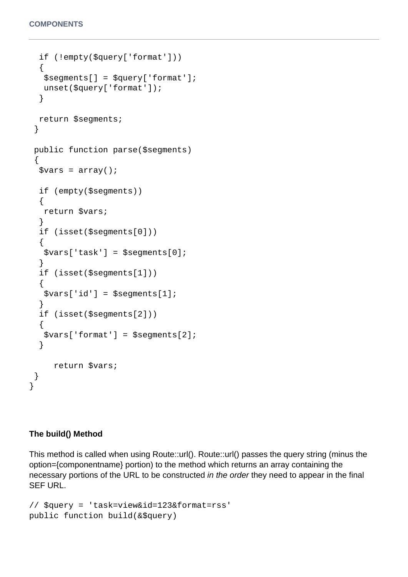```
 if (!empty($query['format']))
   {
    $segments[] = $query['format'];
   unset($query['format']);
   }
  return $segments;
  }
 public function parse($segments)
  {
  $vars = array();
   if (empty($segments))
  \{ return $vars;
   }
   if (isset($segments[0]))
  \{ $vars['task'] = $segments[0];
   }
   if (isset($segments[1]))
  {
    $vars['id'] = $segments[1];
   }
   if (isset($segments[2]))
   {
    $vars['format'] = $segments[2];
   }
      return $vars;
  }
}
```
#### **The build() Method**

This method is called when using Route::url(). Route::url() passes the query string (minus the option={componentname} portion) to the method which returns an array containing the necessary portions of the URL to be constructed in the order they need to appear in the final SEF URL.

```
// $query = 'task=view&id=123&format=rss'
public function build(&$query)
```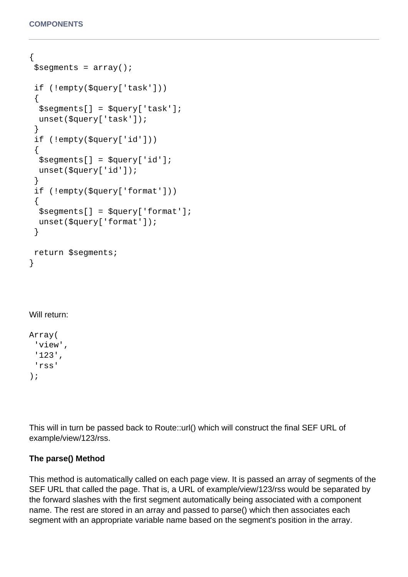```
{
$segments = array();
 if (!empty($query['task']))
  {
   $segments[] = $query['task'];
   unset($query['task']);
  }
 if (!empty($query['id']))
 {
   $segments[] = $query['id'];
   unset($query['id']);
  }
 if (!empty($query['format']))
 \{ $segments[] = $query['format'];
 unset($query['format']);
  }
 return $segments;
}
```
### Will return:

Array( 'view', '123', 'rss' );

This will in turn be passed back to Route::url() which will construct the final SEF URL of example/view/123/rss.

#### **The parse() Method**

This method is automatically called on each page view. It is passed an array of segments of the SEF URL that called the page. That is, a URL of example/view/123/rss would be separated by the forward slashes with the first segment automatically being associated with a component name. The rest are stored in an array and passed to parse() which then associates each segment with an appropriate variable name based on the segment's position in the array.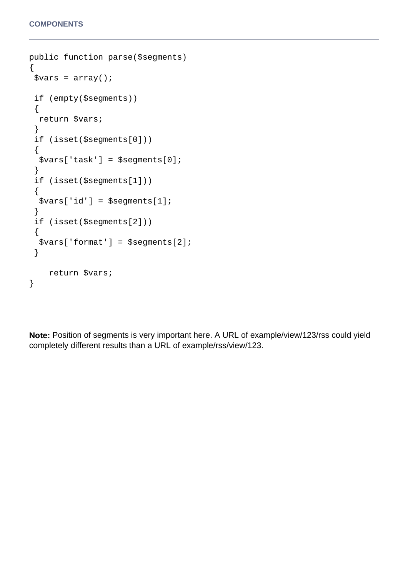```
public function parse($segments)
{
 $vars = array();
  if (empty($segments))
  {
   return $vars;
  }
  if (isset($segments[0]))
 \{ $vars['task'] = $segments[0];
  }
  if (isset($segments[1]))
  {
   $vars['id'] = $segments[1];
  }
  if (isset($segments[2]))
  {
   $vars['format'] = $segments[2];
  }
     return $vars;
}
```
**Note:** Position of segments is very important here. A URL of example/view/123/rss could yield completely different results than a URL of example/rss/view/123.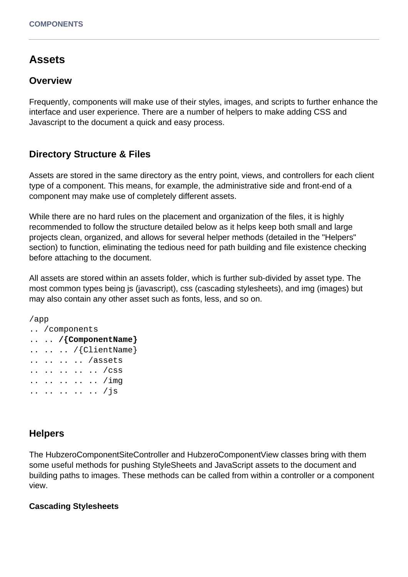## **Assets**

#### **Overview**

Frequently, components will make use of their styles, images, and scripts to further enhance the interface and user experience. There are a number of helpers to make adding CSS and Javascript to the document a quick and easy process.

## **Directory Structure & Files**

Assets are stored in the same directory as the entry point, views, and controllers for each client type of a component. This means, for example, the administrative side and front-end of a component may make use of completely different assets.

While there are no hard rules on the placement and organization of the files, it is highly recommended to follow the structure detailed below as it helps keep both small and large projects clean, organized, and allows for several helper methods (detailed in the "Helpers" section) to function, eliminating the tedious need for path building and file existence checking before attaching to the document.

All assets are stored within an assets folder, which is further sub-divided by asset type. The most common types being js (javascript), css (cascading stylesheets), and img (images) but may also contain any other asset such as fonts, less, and so on.

```
/app
.. /components
.. .. /{ComponentName}
.. .. .. /{ClientName}
.. .. .. .. /assets
.. .. .. .. .. /css
.. .. .. .. .. /img
.. .. .. .. .. /js
```
### **Helpers**

The HubzeroComponentSiteController and HubzeroComponentView classes bring with them some useful methods for pushing StyleSheets and JavaScript assets to the document and building paths to images. These methods can be called from within a controller or a component view.

#### **Cascading Stylesheets**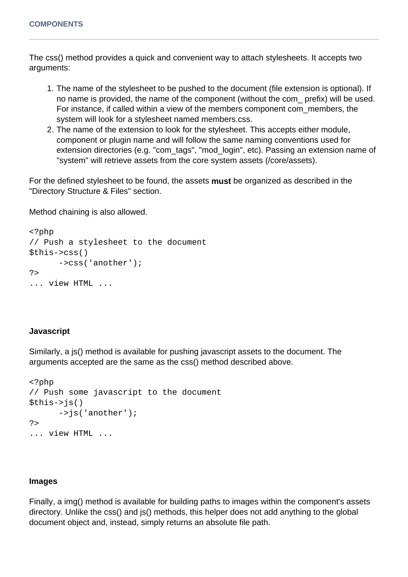The css() method provides a quick and convenient way to attach stylesheets. It accepts two arguments:

- 1. The name of the stylesheet to be pushed to the document (file extension is optional). If no name is provided, the name of the component (without the com\_ prefix) will be used. For instance, if called within a view of the members component com\_members, the system will look for a stylesheet named members.css.
- 2. The name of the extension to look for the stylesheet. This accepts either module, component or plugin name and will follow the same naming conventions used for extension directories (e.g. "com\_tags", "mod\_login", etc). Passing an extension name of "system" will retrieve assets from the core system assets (/core/assets).

For the defined stylesheet to be found, the assets **must** be organized as described in the "Directory Structure & Files" section.

Method chaining is also allowed.

```
<?php
// Push a stylesheet to the document
$this->css()
       ->css('another');
?>
... view HTML ...
```
#### **Javascript**

Similarly, a js() method is available for pushing javascript assets to the document. The arguments accepted are the same as the css() method described above.

```
<?php
// Push some javascript to the document
$this->is() ->js('another');
?>
... view HTML ...
```
#### **Images**

Finally, a img() method is available for building paths to images within the component's assets directory. Unlike the css() and js() methods, this helper does not add anything to the global document object and, instead, simply returns an absolute file path.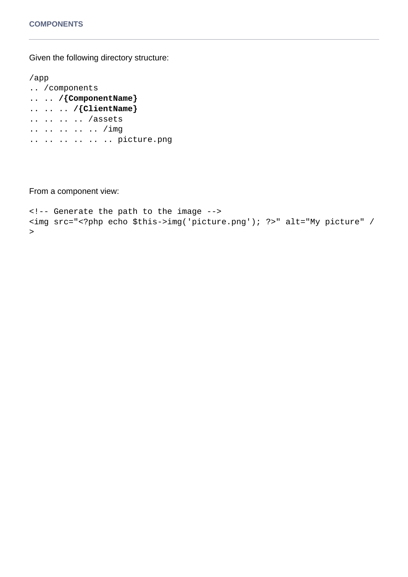Given the following directory structure:

```
/app
.. /components
.. .. /{ComponentName}
.. .. .. /{ClientName}
.. .. .. .. /assets
.. .. .. .. .. /img
.. .. .. .. .. .. picture.png
```
From a component view:

```
<!-- Generate the path to the image -->
<img src="<?php echo $this->img('picture.png'); ?>" alt="My picture" /
>
```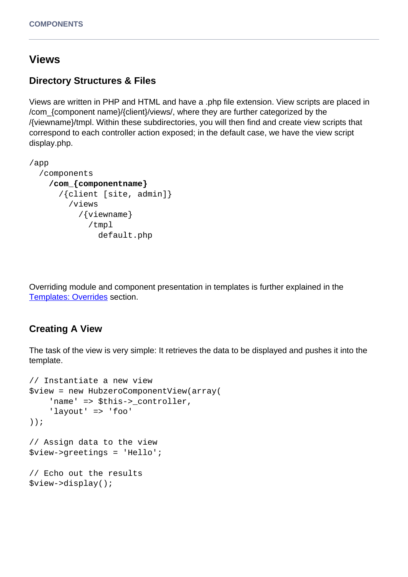## **Views**

## **Directory Structures & Files**

Views are written in PHP and HTML and have a .php file extension. View scripts are placed in /com\_{component name}/{client}/views/, where they are further categorized by the /{viewname}/tmpl. Within these subdirectories, you will then find and create view scripts that correspond to each controller action exposed; in the default case, we have the view script display.php.

```
/app
   /components
     /com_{componentname}
       /{client [site, admin]}
          /views
            /{viewname}
              /tmpl
                default.php
```
Overriding module and component presentation in templates is further explained in the [Templates: Overrides](/documentation/22/webdevs/templates.overrides) section.

#### **Creating A View**

The task of the view is very simple: It retrieves the data to be displayed and pushes it into the template.

```
// Instantiate a new view
$view = new HubzeroComponentView(array(
    'name' => $this->_controller,
     'layout' => 'foo'
));
// Assign data to the view
$view->greetings = 'Hello';
// Echo out the results
$view->display();
```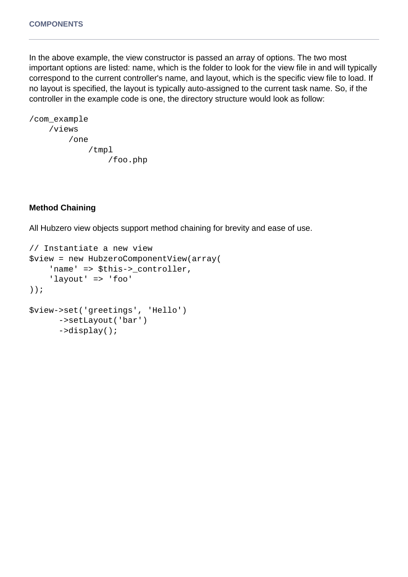In the above example, the view constructor is passed an array of options. The two most important options are listed: name, which is the folder to look for the view file in and will typically correspond to the current controller's name, and layout, which is the specific view file to load. If no layout is specified, the layout is typically auto-assigned to the current task name. So, if the controller in the example code is one, the directory structure would look as follow:

```
/com_example
     /views
          /one
               /tmpl
                   /foo.php
```
#### **Method Chaining**

All Hubzero view objects support method chaining for brevity and ease of use.

```
// Instantiate a new view
$view = new HubzeroComponentView(array(
     'name' => $this->_controller,
     'layout' => 'foo'
));
$view->set('greetings', 'Hello')
       ->setLayout('bar')
       ->display();
```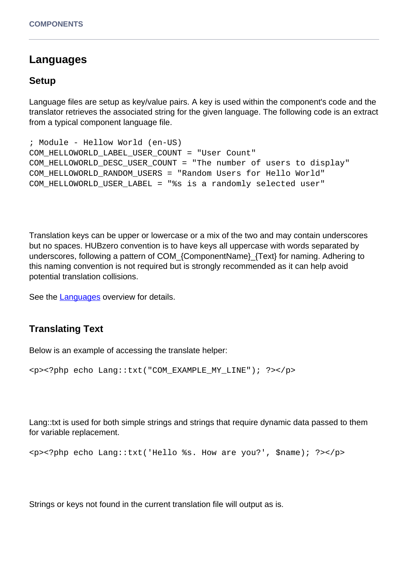## **Languages**

### **Setup**

Language files are setup as key/value pairs. A key is used within the component's code and the translator retrieves the associated string for the given language. The following code is an extract from a typical component language file.

```
; Module - Hellow World (en-US)
COM_HELLOWORLD_LABEL_USER_COUNT = "User Count"
COM_HELLOWORLD_DESC_USER_COUNT = "The number of users to display"
COM_HELLOWORLD_RANDOM_USERS = "Random Users for Hello World"
COM_HELLOWORLD_USER_LABEL = "%s is a randomly selected user"
```
Translation keys can be upper or lowercase or a mix of the two and may contain underscores but no spaces. HUBzero convention is to have keys all uppercase with words separated by underscores, following a pattern of COM\_{ComponentName}\_{Text} for naming. Adhering to this naming convention is not required but is strongly recommended as it can help avoid potential translation collisions.

See the [Languages](/documentation/22/webdevs/extensions.languages) overview for details.

#### **Translating Text**

Below is an example of accessing the translate helper:

```
<p><?php echo Lang::txt("COM_EXAMPLE_MY_LINE"); ?></p>
```
Lang::txt is used for both simple strings and strings that require dynamic data passed to them for variable replacement.

```
<p><?php echo Lang::txt('Hello %s. How are you?', $name); ?></p>
```
Strings or keys not found in the current translation file will output as is.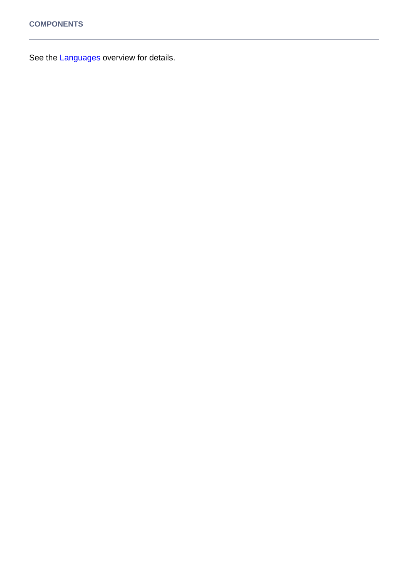See the **Languages** overview for details.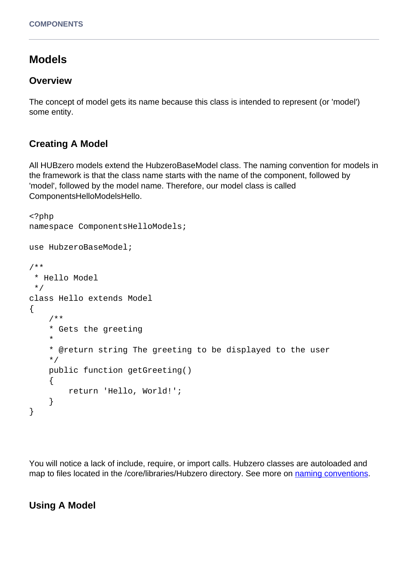# **Models**

### **Overview**

The concept of model gets its name because this class is intended to represent (or 'model') some entity.

## **Creating A Model**

All HUBzero models extend the HubzeroBaseModel class. The naming convention for models in the framework is that the class name starts with the name of the component, followed by 'model', followed by the model name. Therefore, our model class is called ComponentsHelloModelsHello.

```
<?php
namespace ComponentsHelloModels;
use HubzeroBaseModel;
/**
  * Hello Model
  */
class Hello extends Model
{
     /**
     * Gets the greeting
     *
     * @return string The greeting to be displayed to the user
     */
     public function getGreeting()
    \{ return 'Hello, World!';
     }
}
```
You will notice a lack of include, require, or import calls. Hubzero classes are autoloaded and map to files located in the /core/libraries/Hubzero directory. See more on [naming conventions](/documentation/22/webdevs/conventions).

### **Using A Model**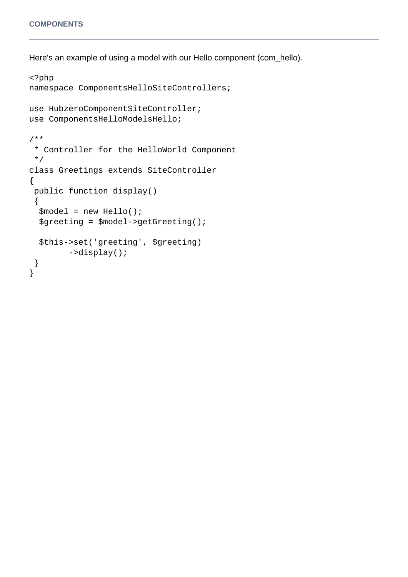Here's an example of using a model with our Hello component (com\_hello).

```
<?php
namespace ComponentsHelloSiteControllers;
use HubzeroComponentSiteController;
use ComponentsHelloModelsHello;
/**
  * Controller for the HelloWorld Component
  */
class Greetings extends SiteController
\{ public function display()
 \{ $model = new Hello();
   $greeting = $model->getGreeting();
   $this->set('greeting', $greeting)
         ->display();
  }
}
```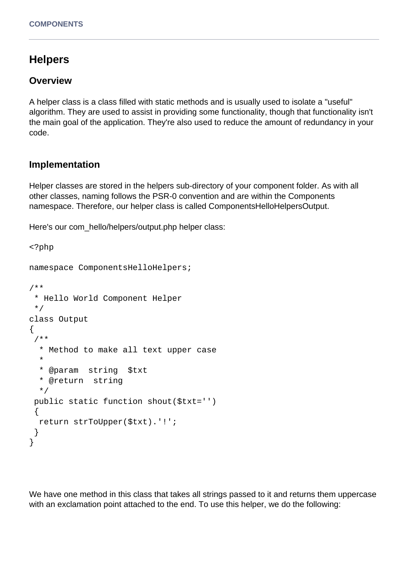# **Helpers**

#### **Overview**

A helper class is a class filled with static methods and is usually used to isolate a "useful" algorithm. They are used to assist in providing some functionality, though that functionality isn't the main goal of the application. They're also used to reduce the amount of redundancy in your code.

## **Implementation**

Helper classes are stored in the helpers sub-directory of your component folder. As with all other classes, naming follows the PSR-0 convention and are within the Components namespace. Therefore, our helper class is called ComponentsHelloHelpersOutput.

Here's our com\_hello/helpers/output.php helper class:

```
<?php
namespace ComponentsHelloHelpers;
/**
  * Hello World Component Helper
  */
class Output
{
  /**
   * Method to make all text upper case
   *
   * @param string $txt
   * @return string
   */
  public static function shout($txt='')
  {
   return strToUpper($txt).'!';
  }
}
```
We have one method in this class that takes all strings passed to it and returns them uppercase with an exclamation point attached to the end. To use this helper, we do the following: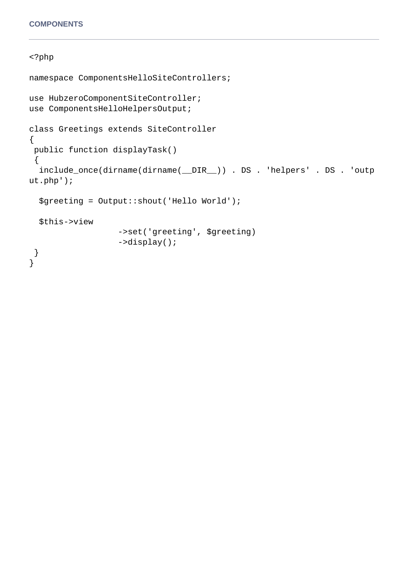#### <?php

```
namespace ComponentsHelloSiteControllers;
use HubzeroComponentSiteController;
use ComponentsHelloHelpersOutput;
class Greetings extends SiteController
\left\{ \right. public function displayTask()
 \{ include_once(dirname(dirname(__DIR__)) . DS . 'helpers' . DS . 'outp
ut.php');
   $greeting = Output::shout('Hello World');
   $this->view
                    ->set('greeting', $greeting)
                    ->display(); 
  } 
}
```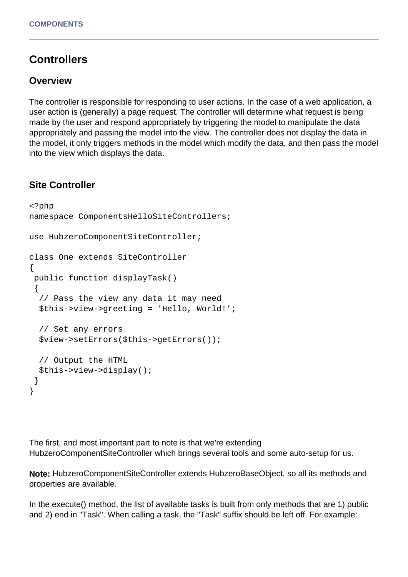# **Controllers**

#### **Overview**

The controller is responsible for responding to user actions. In the case of a web application, a user action is (generally) a page request. The controller will determine what request is being made by the user and respond appropriately by triggering the model to manipulate the data appropriately and passing the model into the view. The controller does not display the data in the model, it only triggers methods in the model which modify the data, and then pass the model into the view which displays the data.

## **Site Controller**

```
<?php
namespace ComponentsHelloSiteControllers;
use HubzeroComponentSiteController;
class One extends SiteController
{
  public function displayTask() 
 \{ // Pass the view any data it may need
   $this->view->greeting = 'Hello, World!';
   // Set any errors
   $view->setErrors($this->getErrors());
   // Output the HTML
   $this->view->display();
  }
}
```
The first, and most important part to note is that we're extending HubzeroComponentSiteController which brings several tools and some auto-setup for us.

**Note:** HubzeroComponentSiteController extends HubzeroBaseObject, so all its methods and properties are available.

In the execute() method, the list of available tasks is built from only methods that are 1) public and 2) end in "Task". When calling a task, the "Task" suffix should be left off. For example: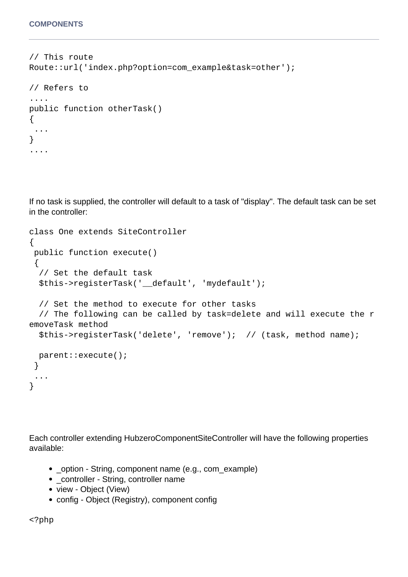// This route Route::url('index.php?option=com\_example&task=other');

```
// Refers to 
....
public function otherTask()
\{ ...
}
....
```
If no task is supplied, the controller will default to a task of "display". The default task can be set in the controller:

```
class One extends SiteController
{
 public function execute() 
 \left\{ \right. // Set the default task
   $this->registerTask('__default', 'mydefault');
   // Set the method to execute for other tasks
   // The following can be called by task=delete and will execute the r
emoveTask method
   $this->registerTask('delete', 'remove'); // (task, method name);
   parent::execute();
  }
  ...
}
```
Each controller extending HubzeroComponentSiteController will have the following properties available:

- \_option String, component name (e.g., com\_example)
- \_controller String, controller name
- view Object (View)
- config Object (Registry), component config

<?php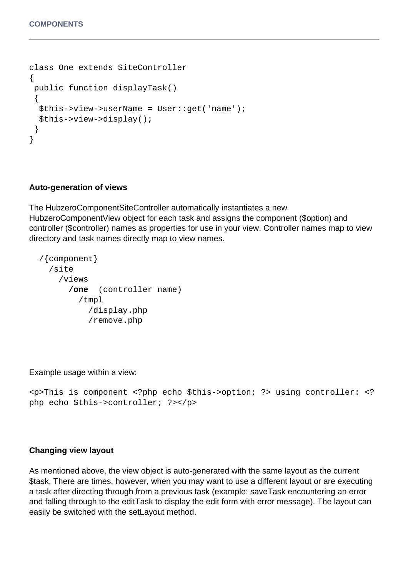```
class One extends SiteController
\{ public function displayTask() 
  {
   $this->view->userName = User::get('name');
   $this->view->display();
  }
}
```
#### **Auto-generation of views**

The HubzeroComponentSiteController automatically instantiates a new HubzeroComponentView object for each task and assigns the component (\$option) and controller (\$controller) names as properties for use in your view. Controller names map to view directory and task names directly map to view names.

```
 /{component}
   /site
     /views
       /one (controller name)
          /tmpl
            /display.php
            /remove.php
```
Example usage within a view:

```
<p>This is component <?php echo $this->option; ?> using controller: <?
php echo $this->controller; ?></p>
```
#### **Changing view layout**

As mentioned above, the view object is auto-generated with the same layout as the current \$task. There are times, however, when you may want to use a different layout or are executing a task after directing through from a previous task (example: saveTask encountering an error and falling through to the editTask to display the edit form with error message). The layout can easily be switched with the setLayout method.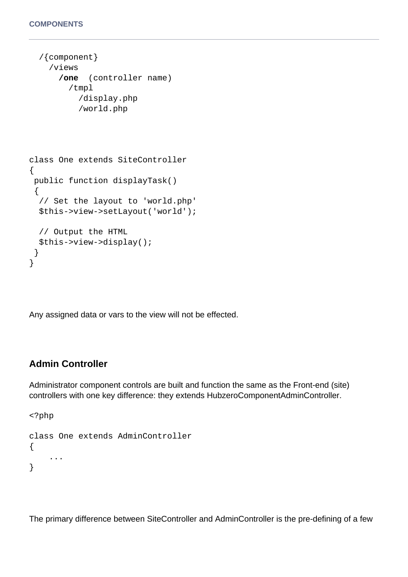```
 /{component}
     /views
       /one (controller name)
          /tmpl
            /display.php
            /world.php
class One extends SiteController
\{ public function displayTask() 
  {
   // Set the layout to 'world.php'
   $this->view->setLayout('world');
   // Output the HTML
   $this->view->display();
  }
}
```
Any assigned data or vars to the view will not be effected.

## **Admin Controller**

Administrator component controls are built and function the same as the Front-end (site) controllers with one key difference: they extends HubzeroComponentAdminController.

```
<?php
class One extends AdminController
{
     ...
}
```
The primary difference between SiteController and AdminController is the pre-defining of a few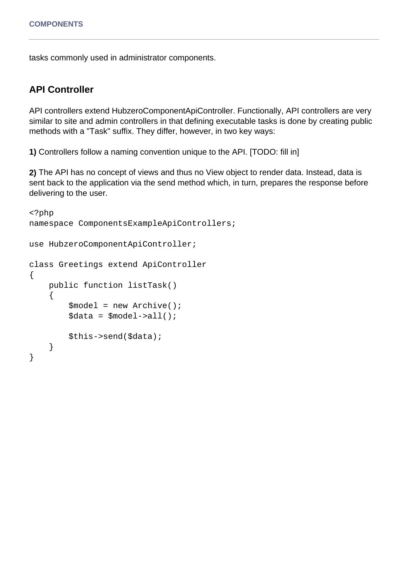tasks commonly used in administrator components.

#### **API Controller**

API controllers extend HubzeroComponentApiController. Functionally, API controllers are very similar to site and admin controllers in that defining executable tasks is done by creating public methods with a "Task" suffix. They differ, however, in two key ways:

**1)** Controllers follow a naming convention unique to the API. [TODO: fill in]

**2)** The API has no concept of views and thus no View object to render data. Instead, data is sent back to the application via the send method which, in turn, prepares the response before delivering to the user.

```
<?php
namespace ComponentsExampleApiControllers;
use HubzeroComponentApiController;
class Greetings extend ApiController
{
     public function listTask()
     {
          $model = new Archive();
         \deltadata = \deltamodel->all();
          $this->send($data);
     }
}
```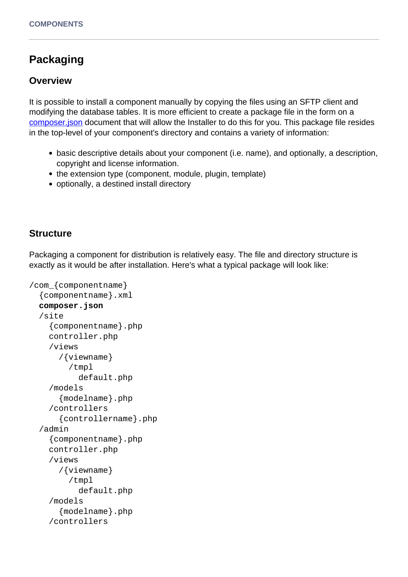# **Packaging**

## **Overview**

It is possible to install a component manually by copying the files using an SFTP client and modifying the database tables. It is more efficient to create a package file in the form on a [composer.json](https://getcomposer.org/doc/01-basic-usage.md) document that will allow the Installer to do this for you. This package file resides in the top-level of your component's directory and contains a variety of information:

- basic descriptive details about your component (i.e. name), and optionally, a description, copyright and license information.
- the extension type (component, module, plugin, template)
- optionally, a destined install directory

## **Structure**

Packaging a component for distribution is relatively easy. The file and directory structure is exactly as it would be after installation. Here's what a typical package will look like:

```
/com_{componentname}
   {componentname}.xml
   composer.json
   /site
     {componentname}.php
     controller.php
     /views
       /{viewname}
          /tmpl
            default.php
     /models
       {modelname}.php
     /controllers
       {controllername}.php
   /admin
     {componentname}.php
     controller.php
     /views
       /{viewname}
          /tmpl
            default.php
     /models
       {modelname}.php
     /controllers
```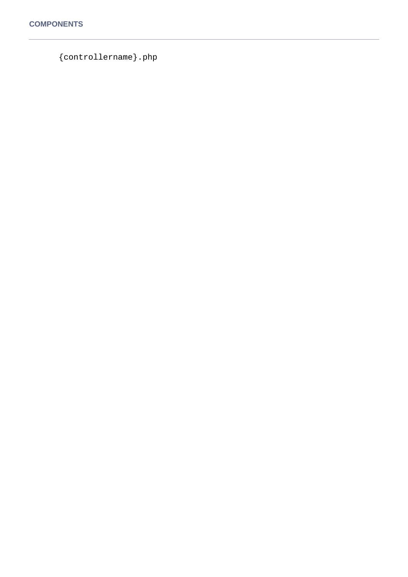{controllername}.php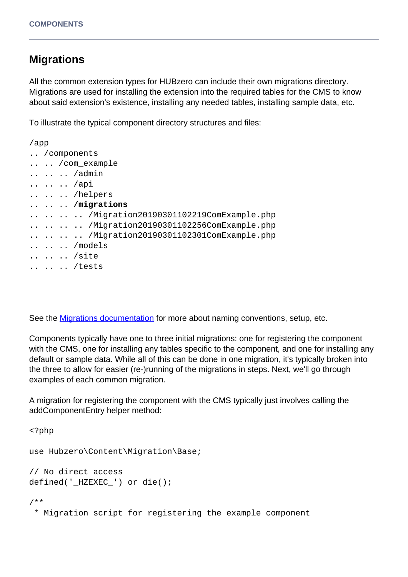# **Migrations**

All the common extension types for HUBzero can include their own migrations directory. Migrations are used for installing the extension into the required tables for the CMS to know about said extension's existence, installing any needed tables, installing sample data, etc.

To illustrate the typical component directory structures and files:

```
/app
.. /components
.. .. /com_example
.. .. .. /admin
.. .. .. /api
.. .. .. /helpers
.. .. .. /migrations
.. .. .. .. /Migration20190301102219ComExample.php
.. .. .. .. /Migration20190301102256ComExample.php
.. .. .. .. /Migration20190301102301ComExample.php
.. .. .. /models
.. .. .. /site
.. .. .. /tests
```
See the **Migrations documentation** for more about naming conventions, setup, etc.

Components typically have one to three initial migrations: one for registering the component with the CMS, one for installing any tables specific to the component, and one for installing any default or sample data. While all of this can be done in one migration, it's typically broken into the three to allow for easier (re-)running of the migrations in steps. Next, we'll go through examples of each common migration.

A migration for registering the component with the CMS typically just involves calling the addComponentEntry helper method:

<?php use Hubzero\Content\Migration\Base; // No direct access defined('\_HZEXEC\_') or die(); /\*\* \* Migration script for registering the example component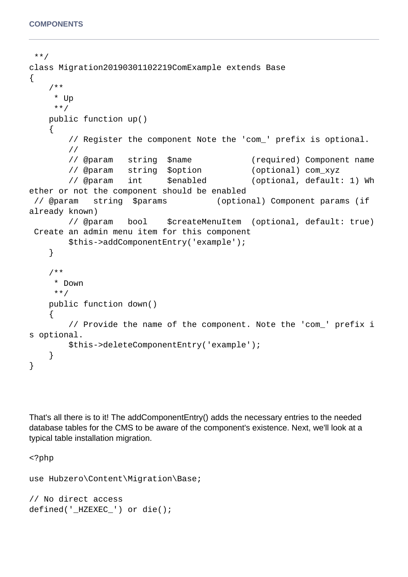```
 **/
class Migration20190301102219ComExample extends Base
{
     /**
      * Up
     **/
    public function up()
     {
        // Register the component Note the 'com_' prefix is optional.
        //
        // @param string $name (required) Component name
        // @param string $option (optional) com_xyz
        // @param int $enabled (optional, default: 1) Wh
ether or not the component should be enabled
  // @param string $params (optional) Component params (if 
already known)
        // @param bool $createMenuItem (optional, default: true)
  Create an admin menu item for this component
        $this->addComponentEntry('example');
     }
     /**
      * Down
     **/
    public function down()
\{ // Provide the name of the component. Note the 'com_' prefix i
s optional.
        $this->deleteComponentEntry('example');
     }
}
```
That's all there is to it! The addComponentEntry() adds the necessary entries to the needed database tables for the CMS to be aware of the component's existence. Next, we'll look at a typical table installation migration.

<?php use Hubzero\Content\Migration\Base; // No direct access defined('\_HZEXEC\_') or die();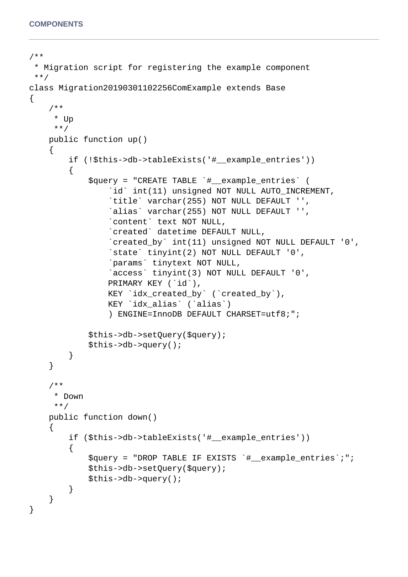```
/**
  * Migration script for registering the example component
  **/
class Migration20190301102256ComExample extends Base
{
     /**
      * Up
      **/
     public function up()
     {
         if (!$this->db->tableExists('#__example_entries'))
\{ $query = "CREATE TABLE `#__example_entries` (
                  `id` int(11) unsigned NOT NULL AUTO_INCREMENT,
                  `title` varchar(255) NOT NULL DEFAULT '',
                  `alias` varchar(255) NOT NULL DEFAULT '',
                  `content` text NOT NULL,
                  `created` datetime DEFAULT NULL,
                  `created_by` int(11) unsigned NOT NULL DEFAULT '0',
                  `state` tinyint(2) NOT NULL DEFAULT '0',
                  `params` tinytext NOT NULL,
                  `access` tinyint(3) NOT NULL DEFAULT '0',
                  PRIMARY KEY (`id`),
                  KEY `idx_created_by` (`created_by`),
                  KEY `idx_alias` (`alias`)
                  ) ENGINE=InnoDB DEFAULT CHARSET=utf8;";
             $this->db->setQuery($query);
             $this->db->query();
         }
     }
     /**
      * Down
      **/
     public function down()
    \{ if ($this->db->tableExists('#__example_entries'))
         {
             $query = "DROP TABLE IF EXISTS `#__example_entries`;";
             $this->db->setQuery($query);
             $this->db->query();
         }
     }
}
```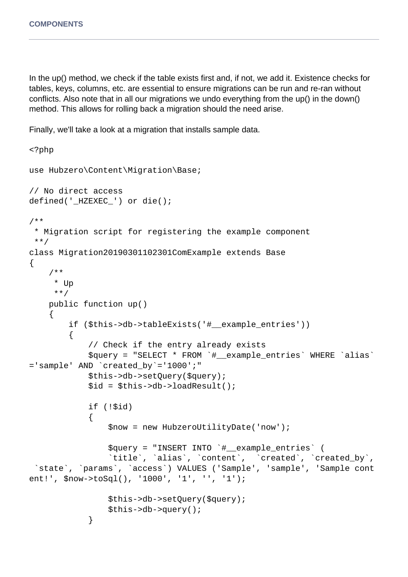In the up() method, we check if the table exists first and, if not, we add it. Existence checks for tables, keys, columns, etc. are essential to ensure migrations can be run and re-ran without conflicts. Also note that in all our migrations we undo everything from the up() in the down() method. This allows for rolling back a migration should the need arise.

Finally, we'll take a look at a migration that installs sample data.

```
<?php
use Hubzero\Content\Migration\Base;
// No direct access
defined('_HZEXEC_') or die();
/**
  * Migration script for registering the example component
  **/
class Migration20190301102301ComExample extends Base
{
     /**
      * Up
      **/
     public function up()
\{ if ($this->db->tableExists('#__example_entries'))
\{ // Check if the entry already exists
             $query = "SELECT * FROM `#__example_entries` WHERE `alias`
='sample' AND `created_by`='1000';"
             $this->db->setQuery($query);
             $id = $this->db->loadResult();
             if (!$id)
\{ $now = new HubzeroUtilityDate('now');
                 $query = "INSERT INTO `#__example_entries` (
                 `title`, `alias`, `content`, `created`, `created_by`,
  `state`, `params`, `access`) VALUES ('Sample', 'sample', 'Sample cont
ent!', $now->toSql(), '1000', '1', '', '1');
                 $this->db->setQuery($query);
                 $this->db->query();
 }
```